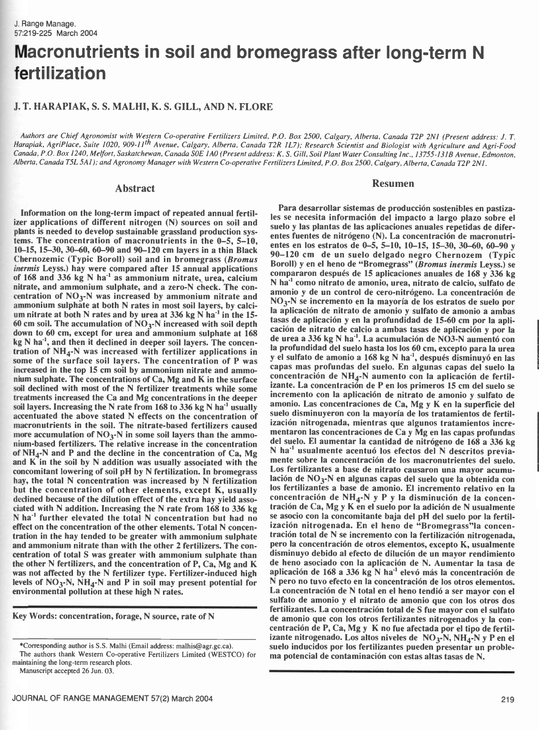# Macronutrients in soil and bromegrass after long-term N fertilization

# J. T. HARAPIAK, S. S. MALHI, K. S. GILL, AND N. FLORE

Authors are Chief Agronomist with Western Co-operative Fertilizers Limited, P.O. Box 2500, Calgary, Alberta, Canada T2P 2N1 (Present address: J. T. Harapiak, AgriPlace, Suite 1020, 909-11<sup>th</sup> Avenue, Calgary, Alberta, Canada T2R 1L7); Research Scientist and Biologist with Agriculture and Agri-Food Canada, P.O. Box 1240, Melfort, Saskatchewan, Canada S0E IAO (Present address: K. S. Gill, Soil Plant Water Consulting Inc., 13755 -131B Avenue, Edmonton, Alberta, Canada T5L 5A1); and Agronomy Manager with Western Co-operative Fertilizers Limited, P.O. Box 2500, Calgary, Alberta, Canada T2P 2N1.

#### Abstract

Information on the long-term impact of repeated annual fertilizer applications of different nitrogen (N) sources on soil and plants is needed to develop sustainable grassland production systems. The concentration of macronutrients in the  $0-5$ ,  $5-10$ , 10-15, 15-30, 30-60, 60-90 and 90-120 cm layers in a thin Black Chernozemic (Typic Boroll) soil and in bromegrass (Bromus inermis Leyss.) hay were compared after 15 annual applications of  $168$  and  $336$  kg N ha<sup>-1</sup> as ammonium nitrate, urea, calcium nitrate, and ammonium sulphate, and a zero-N check. The concentration of  $NO_3$ -N was increased by ammonium nitrate and ammonium sulphate at both N rates in most soil layers, by calcium nitrate at both N rates and by urea at 336 kg N ha<sup>-1</sup> in the 15-60 cm soil. The accumulation of  $NO<sub>3</sub>$ -N increased with soil depth down to 60 cm, except for urea and ammonium sulphate at 168 kg N ha<sup>-1</sup>, and then it declined in deeper soil layers. The concentration of  $NH_4$ -N was increased with fertilizer applications in some of the surface soil layers. The concentration of P was increased in the top 15 cm soil by ammonium nitrate and ammonium sulphate. The concentrations of Ca, Mg and K in the surface soil declined with most of the N fertilizer treatments while some treatments increased the Ca and Mg concentrations in the deeper soil layers. Increasing the N rate from  $168$  to  $336$  kg N ha<sup>-1</sup> usually accentuated the above stated N effects on the concentration of macronutrients in the soil. The nitrate -based fertilizers caused more accumulation of  $NO<sub>3</sub>$ -N in some soil layers than the ammonium -based fertilizers. The relative increase in the concentration of  $NH_4$ -N and P and the decline in the concentration of Ca, Mg and K in the soil by N addition was usually associated with the concomitant lowering of soil pH by N fertilization. In bromegrass hay, the total N concentration was increased by N fertilization but the concentration of other elements, except K, usually declined because of the dilution effect of the extra hay yield associated with N addition. Increasing the N rate from 168 to 336 kg N ha-' further elevated the total N concentration but had no effect on the concentration of the other elements. Total N concentration in the hay tended to be greater with ammonium sulphate and ammonium nitrate than with the other 2 fertilizers. The concentration of total S was greater with ammonium sulphate than the other N fertilizers, and the concentration of P, Ca, Mg and K was not affected by the N fertilizer type. Fertilizer-induced high levels of  $NO<sub>3</sub>-N$ ,  $NH<sub>4</sub>-N$  and P in soil may present potential for environmental pollution at these high N rates.

Key Words: concentration, forage, N source, rate of N

#### Resumen

Para desarrollar sistemas de producción sostenibles en pastizales se necesita información del impacto a largo plazo sobre el suelo y las plantas de las aplicaciones anuales repetidas de diferentes fuentes de nitrógeno (N). La concentración de macronutrientes en los estratos de 0-5, 5-10, 10-15, 15-30, 30-60, 60-90 y 90 -120 cm de un suelo delgado negro Chernozem (Typic Boroll) y en el heno de "Bromegrass" (Bromus inermis Leyss.) se compararon después de 15 aplicaciones anuales de 168 y 336 kg N ha"' como nitrato de amonio, urea, nitrato de calcio, sulfato de amonio y de un control de cero-nitrógeno. La concentración de  $NO<sub>3</sub>$ -N se incremento en la mayoría de los estratos de suelo por la aplicación de nitrato de amonio y sulfato de amonio a ambas tasas de aplicación y en la profundidad de 15 -60 cm por la aplicación de nitrato de calcio a ambas tasas de aplicación y por la de urea a 336 kg N ha"'. La acumulación de NO3 -N aumentó con la profundidad del suelo hasta los los 60 cm, excepto para la urea y el sulfato de amonio a 168 kg N ha"', después disminuyó en las capas mas profundas del suelo. En algunas capas del suelo la concentración de  $NH_4$ -N aumento con la aplicación de fertilizante. La concentración de P en los primeros 15 cm del suelo se incremento con la aplicación de nitrato de amonio y sulfato de amonio. Las concentraciones de Ca, Mg y K en la superficie del suelo disminuyeron con la mayoría de los tratamientos de fertilización nitrogenada, mientras que algunos tratamientos incrementaron las concentraciones de Ca y Mg en las capas profundas del suelo. El aumentar la cantidad de nitrógeno de 168 a 336 kg N ha<sup>-1</sup> usualmente acentuó los efectos del N descritos previamente sobre la concentración de los macronutrientes del suelo. Los fertilizantes a base de nitrato causaron una mayor acumulación de  $NO<sub>3</sub>$ -N en algunas capas del suelo que la obtenida con los fertilizantes a base de amonio. El incremento relativo en la concentración de  $NH_4$ -N y P y la disminución de la concentración de Ca, Mg y K en el suelo por la adición de N usualmente se asocio con la concomitante baja del pH del suelo por la fertilización nitrogenada. En el heno de "Bromegrass"la concentración total de N se incremento con la fertilización nitrogenada, pero la concentración de otros elementos, excepto K, usualmente disminuyo debido al efecto de dilución de un mayor rendimiento de heno asociado con la aplicación de N. Aumentar la tasa de aplicación de 168 a 336 kg N ha"' elevó más la concentración de N pero no tuvo efecto en la concentración de los otros elementos. La concentración de N total en el heno tendió a ser mayor con el sulfato de amonio y el nitrato de amonio que con los otros dos fertilizantes. La concentración total de S fue mayor con el sulfato de amonio que con los otros fertilizantes nitrogenados y la concentración de P, Ca, Mg y K no fue afectada por el tipo de fertilizante nitrogenado. Los altos niveles de  $NO<sub>3</sub>-N$ , NH<sub>4</sub>-N y P en el suelo inducidos por los fertilizantes pueden presentar un problema potencial de contaminación con estas altas tasas de N.

<sup>\*</sup>Corresponding author is S.S. Malhi (Email address: malhis @agr.gc.ca). The authors thank Western Co-operative Fertilizers Limited (WESTCO) for maintaining the long -term research plots.

Manuscript accepted 26 Jun. 03.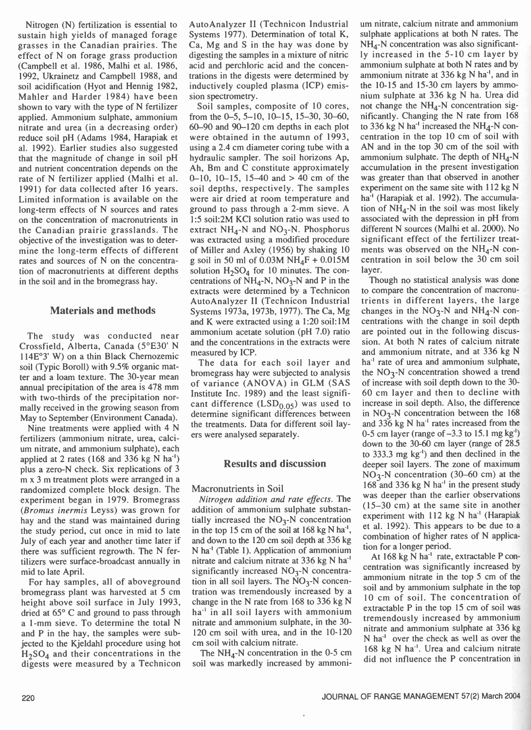Nitrogen (N) fertilization is essential to sustain high yields of managed forage grasses in the Canadian prairies. The effect of N on forage grass production (Campbell et al. 1986, Malhi et al. 1986, 1992, Ukrainetz and Campbell 1988, and soil acidification (Hyot and Hennig 1982, Mahler and Harder 1984) have been shown to vary with the type of N fertilizer applied. Ammonium sulphate, ammonium nitrate and urea (in a decreasing order) reduce soil pH (Adams 1984, Harapiak et al. 1992). Earlier studies also suggested that the magnitude of change in soil pH and nutrient concentration depends on the rate of N fertilizer applied (Malhi et al. 1991) for data collected after 16 years. Limited information is available on the long -term effects of N sources and rates on the concentration of macronutrients in the Canadian prairie grasslands. The objective of the investigation was to determine the long-term effects of different rates and sources of N on the concentration of macronutrients at different depths in the soil and in the bromegrass hay.

# Materials and methods

The study was conducted near Crossfield, Alberta, Canada ( $5^{\circ}E30'$  N and the concentral<br>114E<sup>92</sup> W) on a thin Black Charnezonia measured by ICP. 114E°3' W) on a thin Black Chernozemic soil (Typic Boroll) with 9.5% organic matter and a loam texture. The 30 -year mean annual precipitation of the area is 478 mm with two-thirds of the precipitation normally received in the growing season from May to September (Environment Canada).

Nine treatments were applied with 4 N fertilizers (ammonium nitrate, urea, calcium nitrate, and ammonium sulphate), each applied at 2 rates (168 and 336 kg N há') plus a zero -N check. Six replications of 3 m x 3 m treatment plots were arranged in a randomized complete block design. The experiment began in 1979. Bromegrass (Bromus inermis Leyss) was grown for hay and the stand was maintained during the study period, cut once in mid to late July of each year and another time later if there was sufficient regrowth. The N fertilizers were surface- broadcast annually in mid to late April.

For hay samples, all of aboveground bromegrass plant was harvested at 5 cm height above soil surface in July 1993, dried at 65° C and ground to pass through a 1 -mm sieve. To determine the total N and P in the hay, the samples were subjected to the Kjeldahl procedure using hot  $H<sub>2</sub>SO<sub>4</sub>$  and their concentrations in the digests were measured by a Technicon AutoAnalyzer II (Technicon Industrial Systems 1977). Determination of total K, Ca, Mg and S in the hay was done by digesting the samples in a mixture of nitric acid and perchloric acid and the concentrations in the digests were determined by inductively coupled plasma (ICP) emission spectrometry.

Soil samples, composite of 10 cores, from the  $0-5$ ,  $5-10$ ,  $10-15$ ,  $15-30$ ,  $30-60$ , 60-90 and 90-120 cm depths in each plot were obtained in the autumn of 1993, using a 2.4 cm diameter coring tube with a hydraulic sampler. The soil horizons Ap, Ah, Bm and C constitute approximately 0-10, 10-15, 15-40 and  $> 40$  cm of the soil depths, respectively. The samples were air dried at room temperature and ground to pass through a 2 -mm sieve. A 1:5 soil:2M KC1 solution ratio was used to extract  $NH<sub>4</sub>-N$  and  $NO<sub>3</sub>-N$ . Phosphorus was extracted using a modified procedure of Miller and Axley (1956) by shaking 10 g soil in 50 ml of 0.03M NH<sub>4</sub>F + 0.015M solution  $H_2SO_4$  for 10 minutes. The concentrations of  $NH<sub>4</sub>$ -N, NO<sub>3</sub>-N and P in the extracts were determined by a Technicon AutoAnalyzer II (Technicon Industrial Systems 1973a, 1973b, 1977). The Ca, Mg and K were extracted using a 1:20 soil:1M ammonium acetate solution (pH 7.0) ratio and the concentrations in the extracts were

The data for each soil layer and bromegrass hay were subjected to analysis of variance (ANOVA) in GLM (SAS Institute Inc. 1989) and the least significant difference  $(LSD<sub>0.05</sub>)$  was used to determine significant differences between the treatments. Data for different soil layers were analysed separately.

## Results and discussion

### Macronutrients in Soil

Nitrogen addition and rate effects. The addition of ammonium sulphate substantially increased the  $NO<sub>3</sub>-N$  concentration in the top 15 cm of the soil at  $168 \text{ kg N} \text{ ha}^{-1}$ , and down to the 120 cm soil depth at 336 kg N há' (Table 1). Application of ammonium nitrate and calcium nitrate at 336 kg N ha<sup>1</sup> significantly increased  $NO<sub>3</sub>-N$  concentration in all soil layers. The  $NO<sub>3</sub>-N$  concentration was tremendously increased by a change in the N rate from 168 to 336 kg N ha<sup>-1</sup> in all soil layers with ammonium nitrate and ammonium sulphate, in the 30- 120 cm soil with urea, and in the 10-120 cm soil with calcium nitrate.

The  $NH_4$ -N concentration in the 0-5 cm soil was markedly increased by ammoni-

um nitrate, calcium nitrate and ammonium sulphate applications at both N rates. The NH<sub>4</sub>-N concentration was also significantly increased in the 5 -10 cm layer by ammonium sulphate at both N rates and by ammonium nitrate at 336 kg N ha<sup>-1</sup>, and in the 10-15 and 15-30 cm layers by ammonium sulphate at 336 kg N ha. Urea did not change the  $NH<sub>4</sub>-N$  concentration significantly. Changing the N rate from 168 to 336 kg N ha<sup>-1</sup> increased the NH<sub>4</sub>-N concentration in the top 10 cm of soil with AN and in the top 30 cm of the soil with ammonium sulphate. The depth of  $NH_4$ -N accumulation in the present investigation was greater than that observed in another experiment on the same site with 112 kg N ha<sup>-1</sup> (Harapiak et al. 1992). The accumulation of  $NH_A-N$  in the soil was most likely associated with the depression in pH from different N sources ( Malhi et al. 2000). No significant effect of the fertilizer treatments was observed on the  $NH<sub>4</sub>-N$  concentration in soil below the 30 cm soil layer.

Though no statistical analysis was done to compare the concentration of macronutrients in different layers, the large changes in the  $NO<sub>3</sub>-N$  and  $NH<sub>4</sub>-N$  concentrations with the change in soil depth are pointed out in the following discussion. At both N rates of calcium nitrate and ammonium nitrate, and at 336 kg N ha<sup>-1</sup> rate of urea and ammonium sulphate, the  $NO<sub>3</sub>-N$  concentration showed a trend of increase with soil depth down to the 30- 60 cm layer and then to decline with increase in soil depth. Also, the difference in  $NO<sub>3</sub>-N$  concentration between the 168 and  $336 \text{ kg}$  N ha<sup>-1</sup> rates increased from the 0-5 cm layer (range of  $-3.3$  to 15.1 mg kg<sup>-1</sup>) down to the 30-60 cm layer (range of 28.5) to 333.3 mg kg') and then declined in the deeper soil layers. The zone of maximum  $NO<sub>3</sub>-N$  concentration (30–60 cm) at the  $168$  and 336 kg N ha<sup>-1</sup> in the present study was deeper than the earlier observations (15 -30 cm) at the same site in another experiment with 112 kg N ha<sup>-1</sup> (Harapiak et al. 1992). This appears to be due to a combination of higher rates of N application for a longer period.

At 168 kg N ha<sup>-1</sup> rate, extractable P concentration was significantly increased by ammonium nitrate in the top 5 cm of the soil and by ammonium sulphate in the top 10 cm of soil. The concentration of extractable P in the top 15 cm of soil was tremendously increased by ammonium nitrate and ammonium sulphate at 336 kg N ha<sup>-1</sup> over the check as well as over the 168 kg N ha'. Urea and calcium nitrate did not influence the P concentration in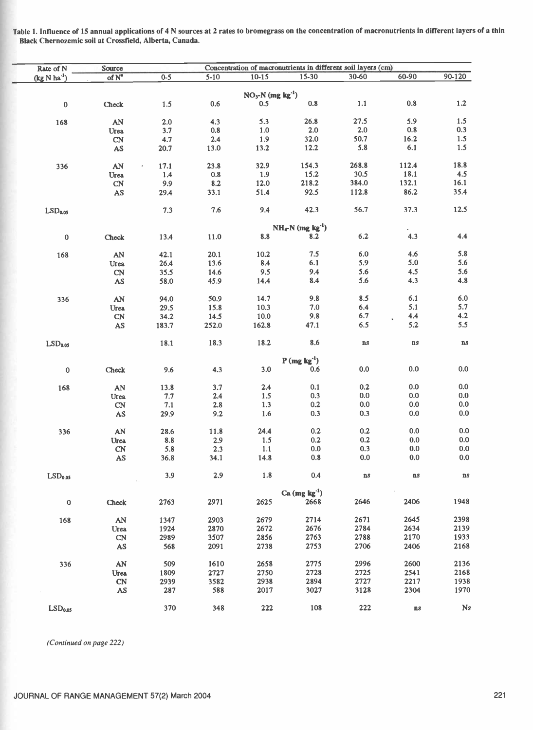| Rate of N           | Concentration of macronutrients in different soil layers (cm)<br>Source |         |          |                                |                                   |               |               |               |
|---------------------|-------------------------------------------------------------------------|---------|----------|--------------------------------|-----------------------------------|---------------|---------------|---------------|
| $(kg N ha-1)$       | of N <sup>a</sup>                                                       | $0 - 5$ | $5 - 10$ | $10 - 15$                      | 15-30                             | 30-60         | 60-90         | 90-120        |
|                     |                                                                         |         |          |                                |                                   |               |               |               |
|                     |                                                                         |         |          | $NO3-N$ (mg kg <sup>-1</sup> ) |                                   |               |               |               |
| $\pmb{0}$           | Check                                                                   | 1.5     | 0.6      | 0.5                            | 0.8                               | 1.1           | 0.8           | 1.2           |
|                     |                                                                         |         |          |                                |                                   | 27.5          | 5.9           | 1.5           |
| 168                 | AN                                                                      | 2.0     | 4.3      | 5.3                            | 26.8                              |               |               | 0.3           |
|                     | Urea                                                                    | 3.7     | 0.8      | 1.0                            | 2.0                               | 2.0           | 0.8           |               |
|                     | <b>CN</b>                                                               | 4.7     | 2.4      | 1.9                            | 32.0                              | 50.7          | 16.2          | 1.5           |
|                     | AS                                                                      | 20.7    | 13.0     | 13.2                           | 12.2                              | 5.8           | 6.1           | 1.5           |
| 336                 | AN                                                                      | 17.1    | 23.8     | 32.9                           | 154.3                             | 268.8         | 112.4         | 18.8          |
|                     | Urea                                                                    | 1.4     | 0.8      | 1.9                            | 15.2                              | 30.5          | 18.1          | 4.5           |
|                     | <b>CN</b>                                                               | 9.9     | 8.2      | 12.0                           | 218.2                             | 384.0         | 132.1         | 16.1          |
|                     |                                                                         |         | 33.1     | 51.4                           | 92.5                              | 112.8         | 86.2          | 35.4          |
|                     | AS                                                                      | 29.4    |          |                                |                                   |               |               |               |
| LSD <sub>0.05</sub> |                                                                         | 7.3     | 7.6      | 9.4                            | 42.3                              | 56.7          | 37.3          | 12.5          |
|                     |                                                                         |         |          |                                | $NH_{4}-N$ (mg kg <sup>-1</sup> ) |               |               |               |
|                     |                                                                         |         |          |                                |                                   |               | 4.3           | 4.4           |
| $\pmb{0}$           | Check                                                                   | 13.4    | 11.0     | 8.8                            | 8.2                               | $6.2\,$       |               |               |
| 168                 | AN                                                                      | 42.1    | 20.1     | 10.2                           | 7.5                               | 6.0           | 4.6           | 5.8           |
|                     | Urea                                                                    | 26.4    | 13.6     | 8.4                            | 6.1                               | 5.9           | 5.0           | 5.6           |
|                     | CN                                                                      | 35.5    | 14.6     | 9.5                            | 9.4                               | 5.6           | 4.5           | 5.6           |
|                     |                                                                         |         | 45.9     | 14.4                           | 8.4                               | 5.6           | 4.3           | 4.8           |
|                     | AS                                                                      | 58.0    |          |                                |                                   |               |               |               |
| 336                 | AN                                                                      | 94.0    | 50.9     | 14.7                           | 9.8                               | 8.5           | 6.1           | 6.0           |
|                     | Urea                                                                    | 29.5    | 15.8     | 10.3                           | 7.0                               | 6.4           | 5.1           | 5.7           |
|                     | CN                                                                      | 34.2    | 14.5     | 10.0                           | 9.8                               | 6.7           | 4.4           | 4.2           |
|                     | AS                                                                      | 183.7   | 252.0    | 162.8                          | 47.1                              | 6.5           | 5.2           | 5.5           |
| LSD <sub>0.05</sub> |                                                                         | 18.1    | 18.3     | 18.2                           | 8.6                               | $\mathbf{n}s$ | $\mathbf{n}s$ | $\mathbf{ns}$ |
|                     |                                                                         |         |          |                                | $P(mg kg-1)$                      |               |               |               |
| $\pmb{0}$           | Check                                                                   | 9.6     | 4.3      | $3.0\,$                        | 0.6                               | 0.0           | 0.0           | 0.0           |
|                     |                                                                         |         |          |                                |                                   |               |               |               |
| 168                 | AN                                                                      | 13.8    | 3.7      | 2.4                            | 0.1                               | 0.2           | 0.0           | 0.0           |
|                     | Urea                                                                    | 7.7     | 2.4      | 1.5                            | 0.3                               | 0.0           | 0.0           | 0.0           |
|                     | CN                                                                      | 7.1     | 2.8      | 1.3                            | 0.2                               | 0.0           | 0.0           | 0.0           |
|                     | AS                                                                      | 29.9    | 9.2      | 1.6                            | 0.3                               | 0.3           | 0.0           | 0.0           |
|                     |                                                                         |         |          |                                |                                   |               |               |               |
| 336                 | AN                                                                      | 28.6    | 11.8     | 24.4                           | 0.2                               | 0.2           | 0.0           | 0.0           |
|                     | Urea                                                                    | 8.8     | 2.9      | 1.5                            | 0.2                               | 0.2           | 0.0           | 0.0           |
|                     | CN                                                                      | 5.8     | 2.3      | 1.1                            | 0.0                               | 0.3           | 0.0           | 0.0           |
|                     | AS                                                                      | 36.8    | 34.1     | 14.8                           | 0.8                               | 0.0           | 0.0           | 0.0           |
| LSD <sub>0.05</sub> | $\ddotsc$                                                               | 3.9     | 2.9      | 1.8                            | 0.4                               | $\mathbf{n}s$ | $\mathbf{B}$  | $\mathbf{n}s$ |
|                     |                                                                         |         |          |                                | $Ca (mg kg-1)$                    |               |               |               |
| $\pmb{0}$           | Check                                                                   | 2763    | 2971     | 2625                           | 2668                              | 2646          | 2406          | 1948          |
| 168                 |                                                                         |         | 2903     | 2679                           | 2714                              | 2671          | 2645          | 2398          |
|                     | ${\bf A}{\bf N}$                                                        | 1347    |          |                                |                                   |               | 2634          | 2139          |
|                     | <b>Urea</b>                                                             | 1924    | 2870     | 2672                           | 2676                              | 2784          |               |               |
|                     | CN                                                                      | 2989    | 3507     | 2856                           | 2763                              | 2788          | 2170          | 1933          |
|                     | AS                                                                      | 568     | 2091     | 2738                           | 2753                              | 2706          | 2406          | 2168          |
| 336                 | ${\bf A}{\bf N}$                                                        | 509     | 1610     | 2658                           | 2775                              | 2996          | 2600          | 2136          |
|                     | Urea                                                                    | 1809    | 2727     | 2750                           | 2728                              | 2725          | 2541          | 2168          |
|                     | <b>CN</b>                                                               | 2939    | 3582     | 2938                           | 2894                              | 2727          | 2217          | 1938          |
|                     | AS                                                                      | 287     | 588      | 2017                           | 3027                              | 3128          | 2304          | 1970          |
|                     |                                                                         |         |          |                                |                                   |               |               |               |
| LSD <sub>0.05</sub> |                                                                         | 370     | 348      | 222                            | 108                               | 222           | $\mathbf{ns}$ | <b>Ns</b>     |

Table 1. Influence of 15 annual applications of 4 N sources at 2 rates to bromegrass on the concentration of macronutrients in different layers of a thin Black Chernozemic soil at Crossfield, Alberta, Canada.

(Continued on page 222)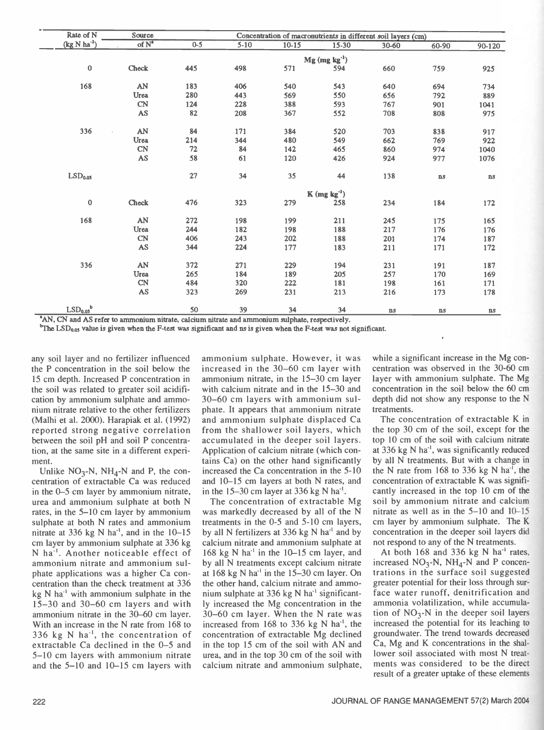| Rate of N                        | Source                 |         | Concentration of macronutrients in different soil layers (cm) |           |                             |           |               |               |  |
|----------------------------------|------------------------|---------|---------------------------------------------------------------|-----------|-----------------------------|-----------|---------------|---------------|--|
| $(kg N ha-1)$                    | $of N^*$               | $0 - 5$ | $5-10$                                                        | $10 - 15$ | $15 - 30$                   | $30 - 60$ | $60 - 90$     | 90-120        |  |
|                                  |                        |         |                                                               |           | $Mg$ (mg kg <sup>-1</sup> ) |           |               |               |  |
| $\bf{0}$                         | Check                  | 445     | 498                                                           | 571       | 594                         | 660       | 759           | 925           |  |
| 168                              | AN                     | 183     | 406                                                           | 540       | 543                         | 640       | 694           | 734           |  |
|                                  | Urea                   | 280     | 443                                                           | 569       | 550                         | 656       | 792           | 889           |  |
|                                  | <b>CN</b>              | 124     | 228                                                           | 388       | 593                         | 767       | 901           | 1041          |  |
|                                  | AS                     | 82      | 208                                                           | 367       | 552                         | 708       | 808           | 975           |  |
| 336                              | AN                     | 84      | 171                                                           | 384       | 520                         | 703       | 838           | 917           |  |
|                                  | Urea                   | 214     | 344                                                           | 480       | 549                         | 662       | 769           | 922           |  |
|                                  | CN                     | 72      | 84                                                            | 142       | 465                         | 860       | 974           | 1040          |  |
|                                  | AS                     | 58      | 61                                                            | 120       | 426                         | 924       | 977           | 1076          |  |
| LSD <sub>0.05</sub>              |                        | 27      | 34                                                            | 35        | 44                          | 138       | $\mathbf{ns}$ | ns            |  |
|                                  |                        |         |                                                               |           | $K$ (mg $kg^{-1}$ )         |           |               |               |  |
| $\pmb{0}$                        | Check                  | 476     | 323                                                           | 279       | 258                         | 234       | 184           | 172           |  |
| 168                              | AN                     | 272     | 198                                                           | 199       | 211                         | 245       | 175           | 165           |  |
|                                  | Urea                   | 244     | 182                                                           | 198       | 188                         | 217       | 176           | 176           |  |
|                                  | CN                     | 406     | 243                                                           | 202       | 188                         | 201       | 174           | 187           |  |
|                                  | <b>AS</b>              | 344     | 224                                                           | 177       | 183                         | 211       | 171           | 172           |  |
| 336                              | AN                     | 372     | 271                                                           | 229       | 194                         | 231       | 191           | 187           |  |
|                                  | Urea                   | 265     | 184                                                           | 189       | 205                         | 257       | 170           | 169           |  |
|                                  | <b>CN</b>              | 484     | 320                                                           | 222       | 181                         | 198       | 161           | 171           |  |
|                                  | $\mathbb{A}\mathbb{S}$ | 323     | 269                                                           | 231       | 213                         | 216       | 173           | 178           |  |
| LSD <sub>0.05</sub> <sup>b</sup> |                        | 50      | 39                                                            | 34        | 34                          | ns        | $\mathbf{n}s$ | $\mathbf{ns}$ |  |

'AN, CN and AS refer to ammonium nitrate, calcium nitrate and ammonium sulphate, respectively.

 $b$ The LSD<sub>0.05</sub> value is given when the F-test was significant and ns is given when the F-test was not significant.

any soil layer and no fertilizer influenced the P concentration in the soil below the 15 cm depth. Increased P concentration in the soil was related to greater soil acidification by ammonium sulphate and ammonium nitrate relative to the other fertilizers (Malhi et al. 2000). Harapiak et al. (1992) reported strong negative correlation between the soil pH and soil P concentration, at the same site in a different experiment.

Unlike  $NO_3-N$ ,  $NH_4-N$  and P, the concentration of extractable Ca was reduced in the 0-5 cm layer by ammonium nitrate, urea and ammonium sulphate at both N rates, in the 5–10 cm layer by ammonium sulphate at both N rates and ammonium nitrate at 336 kg N ha<sup>-1</sup>, and in the  $10-15$ cm layer by ammonium sulphate at 336 kg N ha'. Another noticeable effect of ammonium nitrate and ammonium sulphate applications was a higher Ca concentration than the check treatment at 336  $kg \text{ N}$  ha<sup>-1</sup> with ammonium sulphate in the  $15 - 30$  and  $30 - 60$  cm layers and with ammonium nitrate in the 30-60 cm layer. With an increase in the N rate from 168 to 336 kg N ha<sup>-1</sup>, the concentration of extractable Ca declined in the  $0-5$  and 5-10 cm layers with ammonium nitrate and the  $5-10$  and  $10-15$  cm layers with

ammonium sulphate. However, it was increased in the 30–60 cm layer with ammonium nitrate, in the 15-30 cm layer with calcium nitrate and in the 15–30 and 30 -60 cm layers with ammonium sulphate. It appears that ammonium nitrate and ammonium sulphate displaced Ca from the shallower soil layers, which accumulated in the deeper soil layers. Application of calcium nitrate (which contains Ca) on the other hand significantly increased the Ca concentration in the 5-10 and 10-15 cm layers at both N rates, and in the  $15-30$  cm layer at 336 kg N ha<sup>-1</sup>.

The concentration of extractable Mg was markedly decreased by all of the N treatments in the 0-5 and 5-10 cm layers, by all N fertilizers at  $336$  kg N ha<sup>-1</sup> and by calcium nitrate and ammonium sulphate at 168 kg N ha<sup>-1</sup> in the 10–15 cm layer, and by all N treatments except calcium nitrate at  $168$  kg N ha<sup>-1</sup> in the  $15-30$  cm layer. On the other hand, calcium nitrate and ammonium sulphate at  $336$  kg N ha<sup>-1</sup> significantly increased the Mg concentration in the 30 -60 cm layer. When the N rate was increased from 168 to 336 kg N ha<sup>-1</sup>, the concentration of extractable Mg declined in the top 15 cm of the soil with AN and urea, and in the top 30 cm of the soil with calcium nitrate and ammonium sulphate, while a significant increase in the Mg concentration was observed in the 30 -60 cm layer with ammonium sulphate. The Mg concentration in the soil below the 60 cm depth did not show any response to the N treatments.

The concentration of extractable K in the top 30 cm of the soil, except for the top 10 cm of the soil with calcium nitrate at 336 kg  $N$  ha<sup>-1</sup>, was significantly reduced by all N treatments. But with a change in the N rate from 168 to 336 kg N ha<sup>-1</sup>, the concentration of extractable K was significantly increased in the top 10 cm of the soil by ammonium nitrate and calcium nitrate as well as in the  $5-10$  and  $10-15$ cm layer by ammonium sulphate. The K concentration in the deeper soil layers did not respond to any of the N treatments.

At both 168 and 336 kg N ha<sup>-1</sup> rates, increased  $NO_3$ -N,  $NH_4$ -N and P concentrations in the surface soil suggested greater potential for their loss through surface water runoff, denitrification and ammonia volatilization, while accumulation of  $NO_3$ -N in the deeper soil layers increased the potential for its leaching to groundwater. The trend towards decreased Ca, Mg and K concentrations in the shallower soil associated with most N treatments was considered to be the direct result of a greater uptake of these elements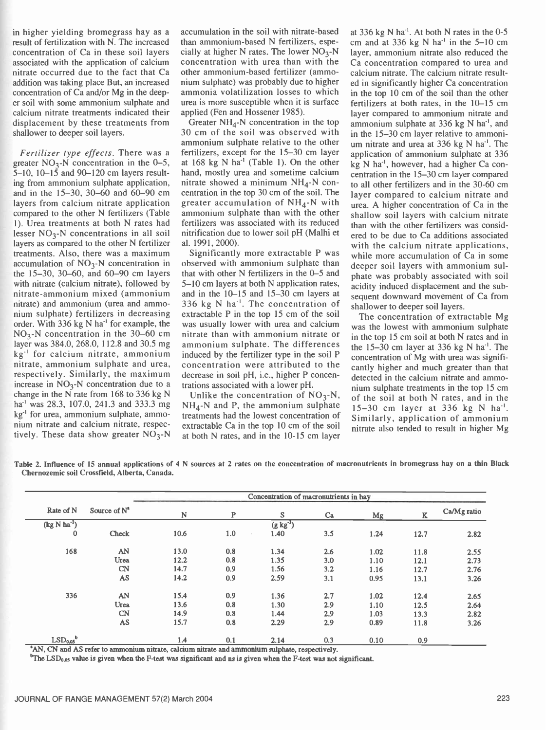in higher yielding bromegrass hay as a result of fertilization with N. The increased concentration of Ca in these soil layers associated with the application of calcium nitrate occurred due to the fact that Ca addition was taking place But, an increased concentration of Ca and/or Mg in the deeper soil with some ammonium sulphate and calcium nitrate treatments indicated their displacement by these treatments from shallower to deeper soil layers.

Fertilizer type effects. There was a greater  $NO<sub>3</sub>-N$  concentration in the 0-5, 5-10, 10-15 and 90-120 cm layers resulting from ammonium sulphate application, and in the 15-30, 30-60 and 60-90 cm layers from calcium nitrate application compared to the other N fertilizers (Table 1). Urea treatments at both N rates had lesser  $NO<sub>3</sub>-N$  concentrations in all soil layers as compared to the other N fertilizer treatments. Also, there was a maximum accumulation of  $NO<sub>3</sub>-N$  concentration in the 15-30, 30-60, and 60-90 cm layers with nitrate (calcium nitrate), followed by nitrate ammonium mixed (ammonium nitrate) and ammonium (urea and ammonium sulphate) fertilizers in decreasing order. With 336 kg  $N$  ha<sup>-1</sup> for example, the  $NO<sub>3</sub>$ -N concentration in the 30–60 cm layer was 384.0, 268.0, 112.8 and 30.5 mg  $kg<sup>-1</sup>$  for calcium nitrate, ammonium nitrate, ammonium sulphate and urea, respectively. Similarly, the maximum increase in  $NO<sub>3</sub>$ -N concentration due to a change in the N rate from 168 to 336 kg N ha<sup>-1</sup> was 28.3, 107.0, 241.3 and 333.3 mg kg<sup>-1</sup> for urea, ammonium sulphate, ammonium nitrate and calcium nitrate, respectively. These data show greater  $NO<sub>3</sub>$ -N accumulation in the soil with nitrate -based than ammonium -based N fertilizers, especially at higher N rates. The lower  $NO<sub>3</sub>$ -N concentration with urea than with the other ammonium -based fertilizer (ammonium sulphate) was probably due to higher ammonia volatilization losses to which urea is more susceptible when it is surface applied (Fen and Hossener 1985).

Greater  $NH_4$ -N concentration in the top 30 cm of the soil was observed with ammonium sulphate relative to the other fertilizers, except for the 15-30 cm layer at  $168 \text{ kg}$  N ha<sup>-1</sup> (Table 1). On the other hand, mostly urea and sometime calcium nitrate showed a minimum  $NH<sub>A</sub>$ -N concentration in the top 30 cm of the soil. The greater accumulation of  $NH<sub>4</sub>$ -N with ammonium sulphate than with the other fertilizers was associated with its reduced nitrification due to lower soil pH (Malhi et al. 1991, 2000).

Significantly more extractable P was observed with ammonium sulphate than that with other N fertilizers in the 0-5 and 5–10 cm layers at both N application rates, and in the  $10-15$  and  $15-30$  cm layers at 336 kg N ha<sup>-1</sup>. The concentration of extractable P in the top 15 cm of the soil was usually lower with urea and calcium nitrate than with ammonium nitrate or ammonium sulphate. The differences induced by the fertilizer type in the soil P concentration were attributed to the decrease in soil pH, i.e., higher P concentrations associated with a lower pH.

Unlike the concentration of  $NO<sub>3</sub>-N$ ,  $NH<sub>4</sub>$ -N and P, the ammonium sulphate treatments had the lowest concentration of extractable Ca in the top 10 cm of the soil at both N rates, and in the 10-15 cm layer

at 336 kg N ha<sup>-1</sup>. At both N rates in the 0-5 cm and at 336 kg N ha<sup>-1</sup> in the  $5-10$  cm layer, ammonium nitrate also reduced the Ca concentration compared to urea and calcium nitrate. The calcium nitrate resulted in significantly higher Ca concentration in the top 10 cm of the soil than the other fertilizers at both rates, in the  $10-15$  cm layer compared to ammonium nitrate and ammonium sulphate at 336 kg N ha<sup>-1</sup>, and in the 15–30 cm layer relative to ammonium nitrate and urea at 336 kg N ha<sup>-1</sup>. The application of ammonium sulphate at 336 kg N ha-1, however, had a higher Ca concentration in the 15–30 cm layer compared to all other fertilizers and in the 30 -60 cm layer compared to calcium nitrate and urea. A higher concentration of Ca in the shallow soil layers with calcium nitrate than with the other fertilizers was considered to be due to Ca additions associated with the calcium nitrate applications, while more accumulation of Ca in some deeper soil layers with ammonium sulphate was probably associated with soil acidity induced displacement and the subsequent downward movement of Ca from shallower to deeper soil layers.

The concentration of extractable Mg was the lowest with ammonium sulphate in the top 15 cm soil at both N rates and in the  $15-30$  cm layer at 336 kg N ha<sup>-1</sup>. The concentration of Mg with urea was significantly higher and much greater than that detected in the calcium nitrate and ammonium sulphate treatments in the top 15 cm of the soil at both N rates, and in the  $15 - 30$  cm layer at 336 kg N ha<sup>-1</sup>. Similarly, application of ammonium nitrate also tended to result in higher Mg

Table 2. Influence of 15 annual applications of 4 N sources at 2 rates on the concentration of macronutrients in bromegrass hay on a thin Black Chernozemic soil Crossfield, Alberta, Canada.

| Rate of N           | Source of $N^a$ | Concentration of macronutrients in hay |     |            |     |        |      |             |  |
|---------------------|-----------------|----------------------------------------|-----|------------|-----|--------|------|-------------|--|
|                     |                 | N                                      | P   | S          | Ca  | Mg     | K    | Ca/Mg ratio |  |
| $(kg N ha-1)$       |                 |                                        |     | $(g kg-1)$ |     | $\sim$ |      |             |  |
| $\mathbf{0}$        | Check           | 10.6                                   | 1.0 | 1.40       | 3.5 | 1.24   | 12.7 | 2.82        |  |
| 168                 | AN              | 13.0                                   | 0.8 | 1.34       | 2.6 | 1.02   | 11.8 | 2.55        |  |
|                     | Urea            | 12.2                                   | 0.8 | 1.35       | 3.0 | 1.10   | 12.1 | 2.73        |  |
|                     | <b>CN</b>       | 14.7                                   | 0.9 | 1.56       | 3.2 | 1.16   | 12.7 | 2.76        |  |
|                     | <b>AS</b>       | 14.2                                   | 0.9 | 2.59       | 3.1 | 0.95   | 13.1 | 3.26        |  |
| 336                 | AN              | 15.4                                   | 0.9 | 1.36       | 2.7 | 1.02   | 12.4 | 2.65        |  |
|                     | Urea            | 13.6                                   | 0.8 | 1.30       | 2.9 | 1.10   | 12.5 | 2.64        |  |
|                     | CN              | 14.9                                   | 0.8 | 1.44       | 2.9 | 1.03   | 13.3 | 2.82        |  |
|                     | AS              | 15.7                                   | 0.8 | 2.29       | 2.9 | 0.89   | 11.8 | 3.26        |  |
| LSD <sub>0.05</sub> |                 | 1.4                                    | 0.1 | 2.14       | 0.3 | 0.10   | 0.9  |             |  |

'AN, CN and AS refer to ammonium nitrate, calcium nitrate and ammonium sulphate, respectively.

<sup>b</sup>The LSD<sub>0.05</sub> value is given when the F-test was significant and ns is given when the F-test was not significant.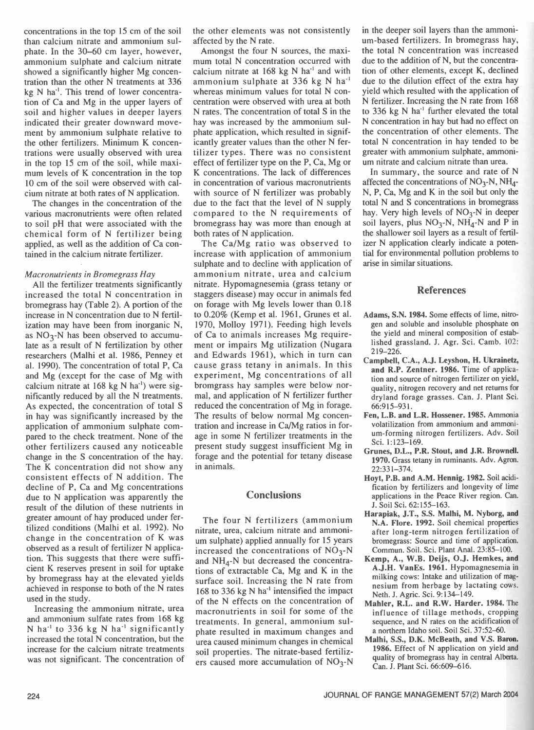concentrations in the top 15 cm of the soil than calcium nitrate and ammonium sulphate. In the 30–60 cm layer, however, ammonium sulphate and calcium nitrate showed a significantly higher Mg concentration than the other N treatments at 336 kg N ha'. This trend of lower concentration of Ca and Mg in the upper layers of soil and higher values in deeper layers indicated their greater downward movement by ammonium sulphate relative to the other fertilizers. Minimum K concentrations were usually observed with urea in the top 15 cm of the soil, while maximum levels of K concentration in the top 10 cm of the soil were observed with calcium nitrate at both rates of N application.

The changes in the concentration of the various macronutrients were often related to soil pH that were associated with the chemical form of N fertilizer being applied, as well as the addition of Ca contained in the calcium nitrate fertilizer.

#### Macronutrients in Bromegrass Hay

All the fertilizer treatments significantly increased the total N concentration in bromegrass hay (Table 2). A portion of the increase in N concentration due to N fertilization may have been from inorganic N, as  $NO<sub>3</sub>-N$  has been observed to accumulate as a result of N fertilization by other researchers (Malhi et al. 1986, Penney et al. 1990). The concentration of total P, Ca and Mg (except for the case of Mg with calcium nitrate at  $168$  kg N ha<sup>-1</sup>) were significantly reduced by all the N treatments. As expected, the concentration of total S in hay was significantly increased by the application of ammonium sulphate compared to the check treatment. None of the other fertilizers caused any noticeable change in the S concentration of the hay. The K concentration did not show any consistent effects of N addition. The decline of P, Ca and Mg concentrations due to N application was apparently the result of the dilution of these nutrients in greater amount of hay produced under fertilized conditions (Malhi et al. 1992). No change in the concentration of K was observed as a result of fertilizer N application. This suggests that there were sufficient K reserves present in soil for uptake by bromegrass hay at the elevated yields achieved in response to both of the N rates used in the study.

Increasing the ammonium nitrate, urea and ammonium sulfate rates from 168 kg N ha<sup>-1</sup> to 336 kg N ha<sup>-1</sup> significantly increased the total N concentration, but the increase for the calcium nitrate treatments was not significant. The concentration of the other elements was not consistently affected by the N rate.

Amongst the four N sources, the maximum total N concentration occurred with calcium nitrate at  $168$  kg N ha<sup>-1</sup> and with ammonium sulphate at 336 kg N ha' whereas minimum values for total N concentration were observed with urea at both N rates. The concentration of total S in the hay was increased by the ammonium sulphate application, which resulted in significantly greater values than the other N fertilizer types. There was no consistent effect of fertilizer type on the P, Ca, Mg or K concentrations. The lack of differences in concentration of various macronutrients with source of N fertilizer was probably due to the fact that the level of N supply compared to the N requirements of bromegrass hay was more than enough at both rates of N application.

The Ca/Mg ratio was observed to increase with application of ammonium sulphate and to decline with application of ammonium nitrate, urea and calcium nitrate. Hypomagnesemia (grass tetany or staggers disease) may occur in animals fed on forage with Mg levels lower than 0.18 to 0.20% (Kemp et al. 1961, Grunes et al. 1970, Molloy 1971). Feeding high levels of Ca to animals increases Mg requirement or impairs Mg utilization (Nugara and Edwards 1961), which in turn can cause grass tetany in animals. In this experiment, Mg concentrations of all bromgrass hay samples were below normal, and application of N fertilizer further reduced the concentration of Mg in forage. The results of below normal Mg concentration and increase in Ca/Mg ratios in forage in some N fertilizer treatments in the present study suggest insufficient Mg in forage and the potential for tetany disease in animals.

# **Conclusions**

The four N fertilizers (ammonium nitrate, urea, calcium nitrate and ammonium sulphate) applied annually for 15 years increased the concentrations of  $NO<sub>3</sub>$ -N and  $NH<sub>4</sub>-N$  but decreased the concentrations of extractable Ca, Mg and K in the surface soil. Increasing the N rate from 168 to 336 kg N ha' intensified the impact of the N effects on the concentration of macronutrients in soil for some of the treatments. In general, ammonium sulphate resulted in maximum changes and urea caused minimum changes in chemical soil properties. The nitrate -based fertilizers caused more accumulation of  $NO<sub>3</sub>-N$ 

in the deeper soil layers than the ammonium -based fertilizers. In bromegrass hay, the total N concentration was increased due to the addition of N, but the concentration of other elements, except K, declined due to the dilution effect of the extra hay yield which resulted with the application of N fertilizer. Increasing the N rate from 168 to 336 kg N ha<sup>-1</sup> further elevated the total N concentration in hay but had no effect on the concentration of other elements. The total N concentration in hay tended to be greater with ammonium sulphate, ammonium nitrate and calcium nitrate than urea.

In summary, the source and rate of N affected the concentrations of  $NO<sub>3</sub>-N$ ,  $NH<sub>4</sub>-$ N, P, Ca, Mg and K in the soil but only the total N and S concentrations in bromegrass hay. Very high levels of  $NO<sub>3</sub>-N$  in deeper soil layers, plus  $NO_3-N$ ,  $NH_4-N$  and P in the shallower soil layers as a result of fertilizer N application clearly indicate a potential for environmental pollution problems to arise in similar situations.

## References

- Adams, S.N. 1984. Some effects of lime, nitrogen and soluble and insoluble phosphate on the yield and mineral composition of established grassland. J. Agr. Sci. Camb. 102:  $219 - 226$ .
- Campbell, C.A., A.J. Leyshon, H. Ukrainetz, and R.P. Zentner. 1986. Time of application and source of nitrogen fertilizer on yield, quality, nitrogen recovery and net returns for dryland forage grasses. Can. J. Plant Sci. 66:915 -931.
- Fen, L.B. and L.R. Hossener. 1985. Ammonia volatilization from ammonium and ammonium- forming nitrogen fertilizers. Adv. Soil Sci. 1:123-169.
- Grunes, D.L., P.R. Stout, and J.R. Brownell. 1970. Grass tetany in ruminants. Adv. Agron. 22:331 -374.
- Hoyt, P.B. and A.M. Hennig. 1982. Soil acidification by fertilizers and longevity of lime applications in the Peace River region. Can. J. Soil Sci. 62:155-163.
- Harapiak, J.T., S.S. Malhi, M. Nyborg, and N.A. Flore. 1992. Soil chemical properties after long-term nitrogen fertilization of bromegrass: Source and time of application. Commun. Soil. Sci. Plant Anal. 23:85-100.
- Kemp, A., W.B. Deijs, O.J. Hemkes, and A.J.H. VanEs. 1961. Hypomagnesemia in milking cows: Intake and utilization of magnesium from herbage by lactating cows. Neth. J. Agric. Sci. 9:134-149.
- Mahler, R.L. and R.W. Harder. 1984. The influence of tillage methods, cropping sequence, and N rates on the acidification of a northern Idaho soil. Soil Sci. 37:52-60.
- Malhi, S.S., D.K. McBeath, and V.S. Baron. 1986. Effect of N application on yield and quality of bromegrass hay in central Alberta. Can. J. Plant Sci. 66:609-616.